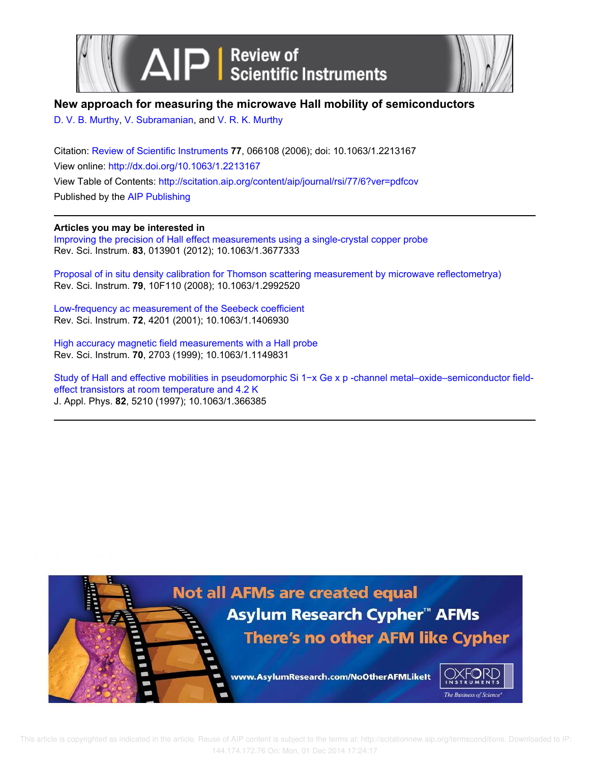



## **New approach for measuring the microwave Hall mobility of semiconductors**

D. V. B. Murthy, V. Subramanian, and V. R. K. Murthy

Citation: Review of Scientific Instruments **77**, 066108 (2006); doi: 10.1063/1.2213167 View online: http://dx.doi.org/10.1063/1.2213167 View Table of Contents: http://scitation.aip.org/content/aip/journal/rsi/77/6?ver=pdfcov Published by the AIP Publishing

## **Articles you may be interested in**

Improving the precision of Hall effect measurements using a single-crystal copper probe Rev. Sci. Instrum. **83**, 013901 (2012); 10.1063/1.3677333

Proposal of in situ density calibration for Thomson scattering measurement by microwave reflectometrya) Rev. Sci. Instrum. **79**, 10F110 (2008); 10.1063/1.2992520

Low-frequency ac measurement of the Seebeck coefficient Rev. Sci. Instrum. **72**, 4201 (2001); 10.1063/1.1406930

High accuracy magnetic field measurements with a Hall probe Rev. Sci. Instrum. **70**, 2703 (1999); 10.1063/1.1149831

Study of Hall and effective mobilities in pseudomorphic Si 1−x Ge x p -channel metal–oxide–semiconductor fieldeffect transistors at room temperature and 4.2 K J. Appl. Phys. **82**, 5210 (1997); 10.1063/1.366385

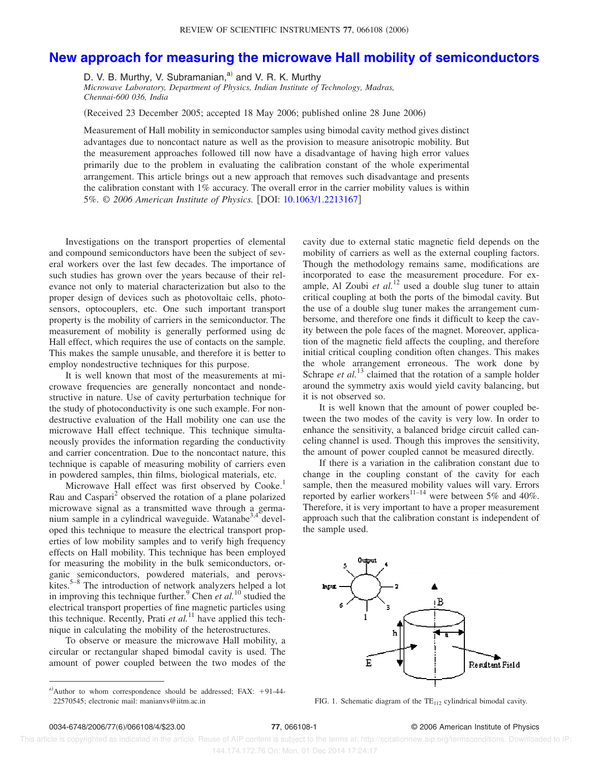## **New approach for measuring the microwave Hall mobility of semiconductors**

D. V. B. Murthy, V. Subramanian,<sup>a)</sup> and V. R. K. Murthy *Microwave Laboratory, Department of Physics, Indian Institute of Technology, Madras, Chennai-600 036, India*

Received 23 December 2005; accepted 18 May 2006; published online 28 June 2006-

Measurement of Hall mobility in semiconductor samples using bimodal cavity method gives distinct advantages due to noncontact nature as well as the provision to measure anisotropic mobility. But the measurement approaches followed till now have a disadvantage of having high error values primarily due to the problem in evaluating the calibration constant of the whole experimental arrangement. This article brings out a new approach that removes such disadvantage and presents the calibration constant with 1% accuracy. The overall error in the carrier mobility values is within 5%. *© 2006 American Institute of Physics.* DOI: 10.1063/1.2213167

Investigations on the transport properties of elemental and compound semiconductors have been the subject of several workers over the last few decades. The importance of such studies has grown over the years because of their relevance not only to material characterization but also to the proper design of devices such as photovoltaic cells, photosensors, optocouplers, etc. One such important transport property is the mobility of carriers in the semiconductor. The measurement of mobility is generally performed using dc Hall effect, which requires the use of contacts on the sample. This makes the sample unusable, and therefore it is better to employ nondestructive techniques for this purpose.

It is well known that most of the measurements at microwave frequencies are generally noncontact and nondestructive in nature. Use of cavity perturbation technique for the study of photoconductivity is one such example. For nondestructive evaluation of the Hall mobility one can use the microwave Hall effect technique. This technique simultaneously provides the information regarding the conductivity and carrier concentration. Due to the noncontact nature, this technique is capable of measuring mobility of carriers even in powdered samples, thin films, biological materials, etc.

Microwave Hall effect was first observed by Cooke.<sup>1</sup> Rau and Caspari<sup>2</sup> observed the rotation of a plane polarized microwave signal as a transmitted wave through a germanium sample in a cylindrical waveguide. Watanabe<sup>3,4</sup> developed this technique to measure the electrical transport properties of low mobility samples and to verify high frequency effects on Hall mobility. This technique has been employed for measuring the mobility in the bulk semiconductors, organic semiconductors, powdered materials, and perovskites.<sup>5–8</sup> The introduction of network analyzers helped a lot in improving this technique further.<sup>9</sup> Chen *et al.*<sup>10</sup> studied the electrical transport properties of fine magnetic particles using this technique. Recently, Prati *et al.*<sup>11</sup> have applied this technique in calculating the mobility of the heterostructures.

To observe or measure the microwave Hall mobility, a circular or rectangular shaped bimodal cavity is used. The amount of power coupled between the two modes of the

a)Author to whom correspondence should be addressed; FAX:  $+91-44-$ 22570545; electronic mail: manianvs@iitm.ac.in FIG. 1. Schematic diagram of the TE<sub>112</sub> cylindrical bimodal cavity.

cavity due to external static magnetic field depends on the mobility of carriers as well as the external coupling factors. Though the methodology remains same, modifications are incorporated to ease the measurement procedure. For example, Al Zoubi *et al.*<sup>12</sup> used a double slug tuner to attain critical coupling at both the ports of the bimodal cavity. But the use of a double slug tuner makes the arrangement cumbersome, and therefore one finds it difficult to keep the cavity between the pole faces of the magnet. Moreover, application of the magnetic field affects the coupling, and therefore initial critical coupling condition often changes. This makes the whole arrangement erroneous. The work done by Schrape *et al.*<sup>13</sup> claimed that the rotation of a sample holder around the symmetry axis would yield cavity balancing, but it is not observed so.

It is well known that the amount of power coupled between the two modes of the cavity is very low. In order to enhance the sensitivity, a balanced bridge circuit called canceling channel is used. Though this improves the sensitivity, the amount of power coupled cannot be measured directly.

If there is a variation in the calibration constant due to change in the coupling constant of the cavity for each sample, then the measured mobility values will vary. Errors reported by earlier workers<sup>11–14</sup> were between 5% and 40%. Therefore, it is very important to have a proper measurement approach such that the calibration constant is independent of the sample used.



 This article is copyrighted as indicated in the article. Reuse of AIP content is subject to the terms at: http://scitationnew.aip.org/termsconditions. Downloaded to IP: 144.174.172.76 On: Mon, 01 Dec 2014 17:24:17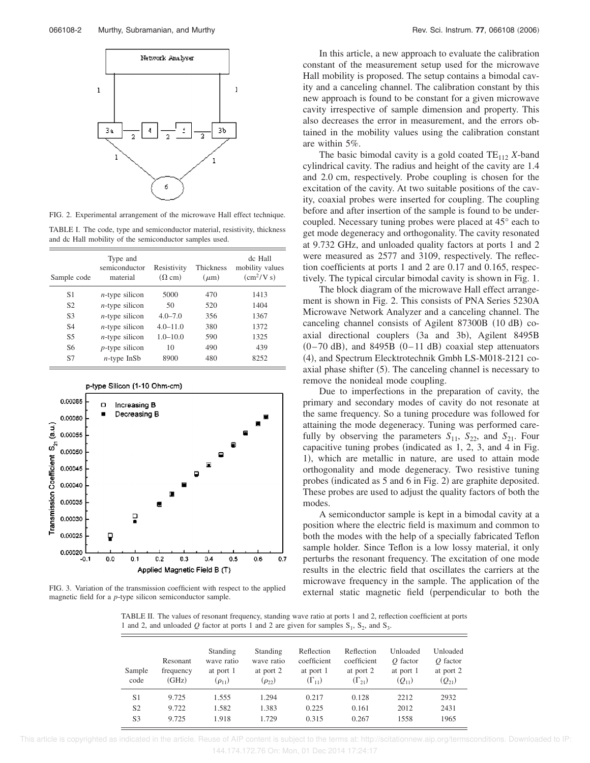

FIG. 2. Experimental arrangement of the microwave Hall effect technique.

TABLE I. The code, type and semiconductor material, resistivity, thickness and dc Hall mobility of the semiconductor samples used.

| Sample code    | Type and<br>semiconductor<br>material | Resistivity<br>$(\Omega$ cm) | Thickness<br>$(\mu m)$ | de Hall<br>mobility values<br>$\left(\frac{\text{cm}^2}{\text{V s}}\right)$ |
|----------------|---------------------------------------|------------------------------|------------------------|-----------------------------------------------------------------------------|
| S <sub>1</sub> | $n$ -type silicon                     | 5000                         | 470                    | 1413                                                                        |
| S <sub>2</sub> | $n$ -type silicon                     | 50                           | 520                    | 1404                                                                        |
| S <sub>3</sub> | $n$ -type silicon                     | $4.0 - 7.0$                  | 356                    | 1367                                                                        |
| S <sub>4</sub> | $n$ -type silicon                     | $4.0 - 11.0$                 | 380                    | 1372                                                                        |
| S <sub>5</sub> | $n$ -type silicon                     | $1.0 - 10.0$                 | 590                    | 1325                                                                        |
| S6             | $p$ -type silicon                     | 10                           | 490                    | 439                                                                         |
| S7             | $n$ -type InSb                        | 8900                         | 480                    | 8252                                                                        |



FIG. 3. Variation of the transmission coefficient with respect to the applied magnetic field for a *p*-type silicon semiconductor sample.

In this article, a new approach to evaluate the calibration constant of the measurement setup used for the microwave Hall mobility is proposed. The setup contains a bimodal cavity and a canceling channel. The calibration constant by this new approach is found to be constant for a given microwave cavity irrespective of sample dimension and property. This also decreases the error in measurement, and the errors obtained in the mobility values using the calibration constant are within 5%.

The basic bimodal cavity is a gold coated  $TE_{112}$  *X*-band cylindrical cavity. The radius and height of the cavity are 1.4 and 2.0 cm, respectively. Probe coupling is chosen for the excitation of the cavity. At two suitable positions of the cavity, coaxial probes were inserted for coupling. The coupling before and after insertion of the sample is found to be undercoupled. Necessary tuning probes were placed at 45° each to get mode degeneracy and orthogonality. The cavity resonated at 9.732 GHz, and unloaded quality factors at ports 1 and 2 were measured as 2577 and 3109, respectively. The reflection coefficients at ports 1 and 2 are 0.17 and 0.165, respectively. The typical circular bimodal cavity is shown in Fig. 1.

The block diagram of the microwave Hall effect arrangement is shown in Fig. 2. This consists of PNA Series 5230A Microwave Network Analyzer and a canceling channel. The canceling channel consists of Agilent 87300B (10 dB) coaxial directional couplers (3a and 3b), Agilent 8495B  $(0-70 \text{ dB})$ , and 8495B  $(0-11 \text{ dB})$  coaxial step attenuators (4), and Spectrum Elecktrotechnik Gmbh LS-M018-2121 coaxial phase shifter (5). The canceling channel is necessary to remove the nonideal mode coupling.

Due to imperfections in the preparation of cavity, the primary and secondary modes of cavity do not resonate at the same frequency. So a tuning procedure was followed for attaining the mode degeneracy. Tuning was performed carefully by observing the parameters  $S_{11}$ ,  $S_{22}$ , and  $S_{21}$ . Four capacitive tuning probes (indicated as  $1, 2, 3$ , and  $4$  in Fig. 1), which are metallic in nature, are used to attain mode orthogonality and mode degeneracy. Two resistive tuning probes (indicated as 5 and 6 in Fig. 2) are graphite deposited. These probes are used to adjust the quality factors of both the modes.

A semiconductor sample is kept in a bimodal cavity at a position where the electric field is maximum and common to both the modes with the help of a specially fabricated Teflon sample holder. Since Teflon is a low lossy material, it only perturbs the resonant frequency. The excitation of one mode results in the electric field that oscillates the carriers at the microwave frequency in the sample. The application of the external static magnetic field (perpendicular to both the

TABLE II. The values of resonant frequency, standing wave ratio at ports 1 and 2, reflection coefficient at ports 1 and 2, and unloaded  $Q$  factor at ports 1 and 2 are given for samples  $S_1$ ,  $S_2$ , and  $S_3$ .

| Sample<br>code | Resonant<br>frequency<br>(GHz) | Standing<br>wave ratio<br>at port 1<br>$(\rho_{11})$ | Standing<br>wave ratio<br>at port 2<br>$(\rho_{22})$ | Reflection<br>coefficient<br>at port 1<br>$(\Gamma_{11})$ | Reflection<br>coefficient<br>at port 2<br>$(\Gamma_{21})$ | Unloaded<br>$O$ factor<br>at port 1<br>$(Q_{11})$ | Unloaded<br>Q factor<br>at port 2<br>$(Q_{21})$ |
|----------------|--------------------------------|------------------------------------------------------|------------------------------------------------------|-----------------------------------------------------------|-----------------------------------------------------------|---------------------------------------------------|-------------------------------------------------|
| S1             | 9.725                          | 1.555                                                | 1.294                                                | 0.217                                                     | 0.128                                                     | 2212                                              | 2932                                            |
| S <sub>2</sub> | 9.722                          | 1.582                                                | 1.383                                                | 0.225                                                     | 0.161                                                     | 2012                                              | 2431                                            |
| S <sub>3</sub> | 9.725                          | 1.918                                                | 1.729                                                | 0.315                                                     | 0.267                                                     | 1558                                              | 1965                                            |

 This article is copyrighted as indicated in the article. Reuse of AIP content is subject to the terms at: http://scitationnew.aip.org/termsconditions. Downloaded to IP: 144.174.172.76 On: Mon, 01 Dec 2014 17:24:17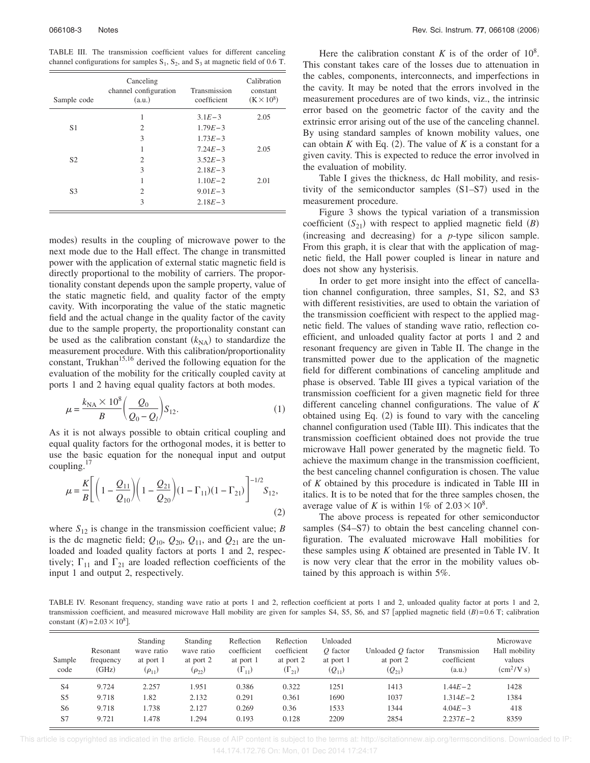TABLE III. The transmission coefficient values for different canceling channel configurations for samples  $S_1$ ,  $S_2$ , and  $S_3$  at magnetic field of 0.6 T.

| Sample code    | Canceling<br>channel configuration<br>(a.u.) | Transmission<br>coefficient | Calibration<br>constant<br>$(K \times 10^8)$ |
|----------------|----------------------------------------------|-----------------------------|----------------------------------------------|
|                | 1                                            | $3.1E - 3$                  | 2.05                                         |
| S1             | 2                                            | $1.79E - 3$                 |                                              |
|                | 3                                            | $1.73E - 3$                 |                                              |
|                | 1                                            | $7.24E - 3$                 | 2.05                                         |
| S <sub>2</sub> | $\overline{c}$                               | $3.52E - 3$                 |                                              |
|                | 3                                            | $2.18E - 3$                 |                                              |
|                | 1                                            | $1.10E - 2$                 | 2.01                                         |
| S <sub>3</sub> | 2                                            | $9.01E - 3$                 |                                              |
|                | 3                                            | $2.18E - 3$                 |                                              |

modes) results in the coupling of microwave power to the next mode due to the Hall effect. The change in transmitted power with the application of external static magnetic field is directly proportional to the mobility of carriers. The proportionality constant depends upon the sample property, value of the static magnetic field, and quality factor of the empty cavity. With incorporating the value of the static magnetic field and the actual change in the quality factor of the cavity due to the sample property, the proportionality constant can be used as the calibration constant  $(k_{NA})$  to standardize the measurement procedure. With this calibration/proportionality constant, Trukhan<sup>15,16</sup> derived the following equation for the evaluation of the mobility for the critically coupled cavity at ports 1 and 2 having equal quality factors at both modes.

$$
\mu = \frac{k_{\text{NA}} \times 10^8}{B} \left( \frac{Q_0}{Q_0 - Q_1} \right) S_{12}.
$$
 (1)

As it is not always possible to obtain critical coupling and equal quality factors for the orthogonal modes, it is better to use the basic equation for the nonequal input and output coupling. $17$ 

$$
\mu = \frac{K}{B} \left[ \left( 1 - \frac{Q_{11}}{Q_{10}} \right) \left( 1 - \frac{Q_{21}}{Q_{20}} \right) (1 - \Gamma_{11}) (1 - \Gamma_{21}) \right]^{-1/2} S_{12},\tag{2}
$$

where  $S_{12}$  is change in the transmission coefficient value; *B* is the dc magnetic field;  $Q_{10}$ ,  $Q_{20}$ ,  $Q_{11}$ , and  $Q_{21}$  are the unloaded and loaded quality factors at ports 1 and 2, respectively;  $\Gamma_{11}$  and  $\Gamma_{21}$  are loaded reflection coefficients of the input 1 and output 2, respectively.

Here the calibration constant  $K$  is of the order of  $10^8$ . This constant takes care of the losses due to attenuation in the cables, components, interconnects, and imperfections in the cavity. It may be noted that the errors involved in the measurement procedures are of two kinds, viz., the intrinsic error based on the geometric factor of the cavity and the extrinsic error arising out of the use of the canceling channel. By using standard samples of known mobility values, one can obtain  $K$  with Eq. (2). The value of  $K$  is a constant for a given cavity. This is expected to reduce the error involved in the evaluation of mobility.

Table I gives the thickness, dc Hall mobility, and resistivity of the semiconductor samples  $(S1-S7)$  used in the measurement procedure.

Figure 3 shows the typical variation of a transmission coefficient  $(S_{21})$  with respect to applied magnetic field  $(B)$ (increasing and decreasing) for a  $p$ -type silicon sample. From this graph, it is clear that with the application of magnetic field, the Hall power coupled is linear in nature and does not show any hysterisis.

In order to get more insight into the effect of cancellation channel configuration, three samples, S1, S2, and S3 with different resistivities, are used to obtain the variation of the transmission coefficient with respect to the applied magnetic field. The values of standing wave ratio, reflection coefficient, and unloaded quality factor at ports 1 and 2 and resonant frequency are given in Table II. The change in the transmitted power due to the application of the magnetic field for different combinations of canceling amplitude and phase is observed. Table III gives a typical variation of the transmission coefficient for a given magnetic field for three different canceling channel configurations. The value of *K* obtained using Eq.  $(2)$  is found to vary with the canceling channel configuration used (Table III). This indicates that the transmission coefficient obtained does not provide the true microwave Hall power generated by the magnetic field. To achieve the maximum change in the transmission coefficient, the best canceling channel configuration is chosen. The value of *K* obtained by this procedure is indicated in Table III in italics. It is to be noted that for the three samples chosen, the average value of *K* is within  $1\%$  of  $2.03 \times 10^8$ .

The above process is repeated for other semiconductor samples (S4–S7) to obtain the best canceling channel configuration. The evaluated microwave Hall mobilities for these samples using *K* obtained are presented in Table IV. It is now very clear that the error in the mobility values obtained by this approach is within 5%.

TABLE IV. Resonant frequency, standing wave ratio at ports 1 and 2, reflection coefficient at ports 1 and 2, unloaded quality factor at ports 1 and 2, transmission coefficient, and measured microwave Hall mobility are given for samples S4, S5, S6, and S7 [applied magnetic field  $(B)=0.6$  T; calibration constant  $(K) = 2.03 \times 10^8$ .

| Sample<br>code | Resonant<br>frequency<br>(GHz) | Standing<br>wave ratio<br>at port 1<br>$(\rho_{11})$ | Standing<br>wave ratio<br>at port 2<br>$(\rho_{22})$ | Reflection<br>coefficient<br>at port 1<br>$(\Gamma_{11})$ | Reflection<br>coefficient<br>at port 2<br>$(\Gamma_{21})$ | Unloaded<br>$O$ factor<br>at port 1<br>$(Q_{11})$ | Unloaded $Q$ factor<br>at port 2<br>$(Q_{21})$ | Transmission<br>coefficient<br>(a.u.) | Microwave<br>Hall mobility<br>values<br>$\text{cm}^2/\text{V}$ s) |
|----------------|--------------------------------|------------------------------------------------------|------------------------------------------------------|-----------------------------------------------------------|-----------------------------------------------------------|---------------------------------------------------|------------------------------------------------|---------------------------------------|-------------------------------------------------------------------|
| S <sub>4</sub> | 9.724                          | 2.257                                                | 1.951                                                | 0.386                                                     | 0.322                                                     | 1251                                              | 1413                                           | $1.44E - 2$                           | 1428                                                              |
| S <sub>5</sub> | 9.718                          | 1.82                                                 | 2.132                                                | 0.291                                                     | 0.361                                                     | 1690                                              | 1037                                           | $1.314E - 2$                          | 1384                                                              |
| S <sub>6</sub> | 9.718                          | 1.738                                                | 2.127                                                | 0.269                                                     | 0.36                                                      | 1533                                              | 1344                                           | $4.04E - 3$                           | 418                                                               |
| S7             | 9.721                          | 1.478                                                | 1.294                                                | 0.193                                                     | 0.128                                                     | 2209                                              | 2854                                           | $2.237E - 2$                          | 8359                                                              |

 This article is copyrighted as indicated in the article. Reuse of AIP content is subject to the terms at: http://scitationnew.aip.org/termsconditions. Downloaded to IP: 144.174.172.76 On: Mon, 01 Dec 2014 17:24:17